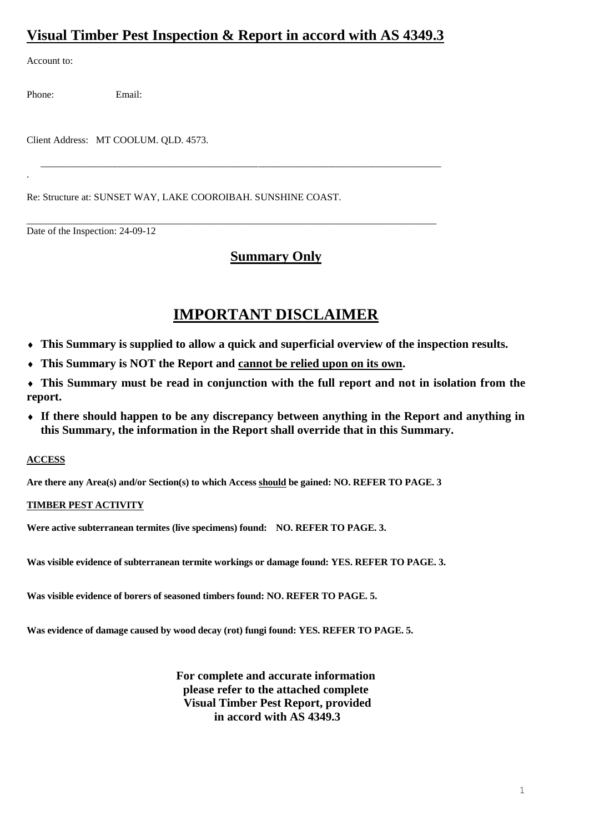## **Visual Timber Pest Inspection & Report in accord with AS 4349.3**

\_\_\_\_\_\_\_\_\_\_\_\_\_\_\_\_\_\_\_\_\_\_\_\_\_\_\_\_\_\_\_\_\_\_\_\_\_\_\_\_\_\_\_\_\_\_\_\_\_\_\_\_\_\_\_\_\_\_\_\_\_\_\_\_\_\_\_\_\_\_\_\_\_\_\_\_\_\_\_\_\_

\_\_\_\_\_\_\_\_\_\_\_\_\_\_\_\_\_\_\_\_\_\_\_\_\_\_\_\_\_\_\_\_\_\_\_\_\_\_\_\_\_\_\_\_\_\_\_\_\_\_\_\_\_\_\_\_\_\_\_\_\_\_\_\_\_\_\_\_\_\_\_\_\_\_\_\_\_\_\_\_\_\_\_

Account to:

.

Phone: Email:

Client Address: MT COOLUM. QLD. 4573.

Re: Structure at: SUNSET WAY, LAKE COOROIBAH. SUNSHINE COAST.

Date of the Inspection: 24-09-12

## **Summary Only**

# **IMPORTANT DISCLAIMER**

- **This Summary is supplied to allow a quick and superficial overview of the inspection results.**
- **This Summary is NOT the Report and cannot be relied upon on its own.**
- **This Summary must be read in conjunction with the full report and not in isolation from the report.**
- **If there should happen to be any discrepancy between anything in the Report and anything in this Summary, the information in the Report shall override that in this Summary.**

### **ACCESS**

**Are there any Area(s) and/or Section(s) to which Access should be gained: NO. REFER TO PAGE. 3**

### **TIMBER PEST ACTIVITY**

**Were active subterranean termites (live specimens) found: NO. REFER TO PAGE. 3.**

**Was visible evidence of subterranean termite workings or damage found: YES. REFER TO PAGE. 3.**

**Was visible evidence of borers of seasoned timbers found: NO. REFER TO PAGE. 5.**

**Was evidence of damage caused by wood decay (rot) fungi found: YES. REFER TO PAGE. 5.**

**For complete and accurate information please refer to the attached complete Visual Timber Pest Report, provided in accord with AS 4349.3**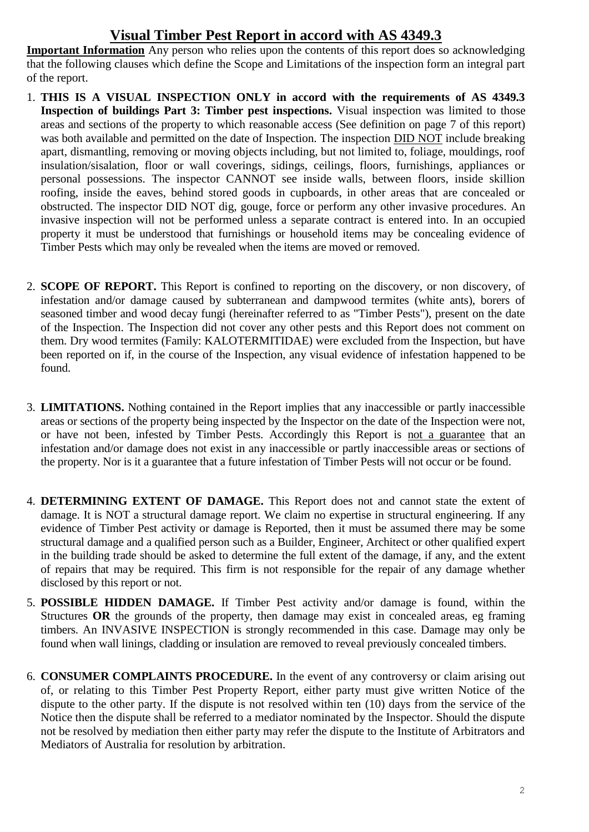## **Visual Timber Pest Report in accord with AS 4349.3**

**Important Information** Any person who relies upon the contents of this report does so acknowledging that the following clauses which define the Scope and Limitations of the inspection form an integral part of the report.

- 1. **THIS IS A VISUAL INSPECTION ONLY in accord with the requirements of AS 4349.3 Inspection of buildings Part 3: Timber pest inspections.** Visual inspection was limited to those areas and sections of the property to which reasonable access (See definition on page 7 of this report) was both available and permitted on the date of Inspection. The inspection DID NOT include breaking apart, dismantling, removing or moving objects including, but not limited to, foliage, mouldings, roof insulation/sisalation, floor or wall coverings, sidings, ceilings, floors, furnishings, appliances or personal possessions. The inspector CANNOT see inside walls, between floors, inside skillion roofing, inside the eaves, behind stored goods in cupboards, in other areas that are concealed or obstructed. The inspector DID NOT dig, gouge, force or perform any other invasive procedures. An invasive inspection will not be performed unless a separate contract is entered into. In an occupied property it must be understood that furnishings or household items may be concealing evidence of Timber Pests which may only be revealed when the items are moved or removed.
- 2. **SCOPE OF REPORT.** This Report is confined to reporting on the discovery, or non discovery, of infestation and/or damage caused by subterranean and dampwood termites (white ants), borers of seasoned timber and wood decay fungi (hereinafter referred to as "Timber Pests"), present on the date of the Inspection. The Inspection did not cover any other pests and this Report does not comment on them. Dry wood termites (Family: KALOTERMITIDAE) were excluded from the Inspection, but have been reported on if, in the course of the Inspection, any visual evidence of infestation happened to be found.
- 3. **LIMITATIONS.** Nothing contained in the Report implies that any inaccessible or partly inaccessible areas or sections of the property being inspected by the Inspector on the date of the Inspection were not, or have not been, infested by Timber Pests. Accordingly this Report is not a guarantee that an infestation and/or damage does not exist in any inaccessible or partly inaccessible areas or sections of the property. Nor is it a guarantee that a future infestation of Timber Pests will not occur or be found.
- 4. **DETERMINING EXTENT OF DAMAGE.** This Report does not and cannot state the extent of damage. It is NOT a structural damage report. We claim no expertise in structural engineering. If any evidence of Timber Pest activity or damage is Reported, then it must be assumed there may be some structural damage and a qualified person such as a Builder, Engineer, Architect or other qualified expert in the building trade should be asked to determine the full extent of the damage, if any, and the extent of repairs that may be required. This firm is not responsible for the repair of any damage whether disclosed by this report or not.
- 5. **POSSIBLE HIDDEN DAMAGE.** If Timber Pest activity and/or damage is found, within the Structures **OR** the grounds of the property, then damage may exist in concealed areas, eg framing timbers. An INVASIVE INSPECTION is strongly recommended in this case. Damage may only be found when wall linings, cladding or insulation are removed to reveal previously concealed timbers.
- 6. **CONSUMER COMPLAINTS PROCEDURE.** In the event of any controversy or claim arising out of, or relating to this Timber Pest Property Report, either party must give written Notice of the dispute to the other party. If the dispute is not resolved within ten (10) days from the service of the Notice then the dispute shall be referred to a mediator nominated by the Inspector. Should the dispute not be resolved by mediation then either party may refer the dispute to the Institute of Arbitrators and Mediators of Australia for resolution by arbitration.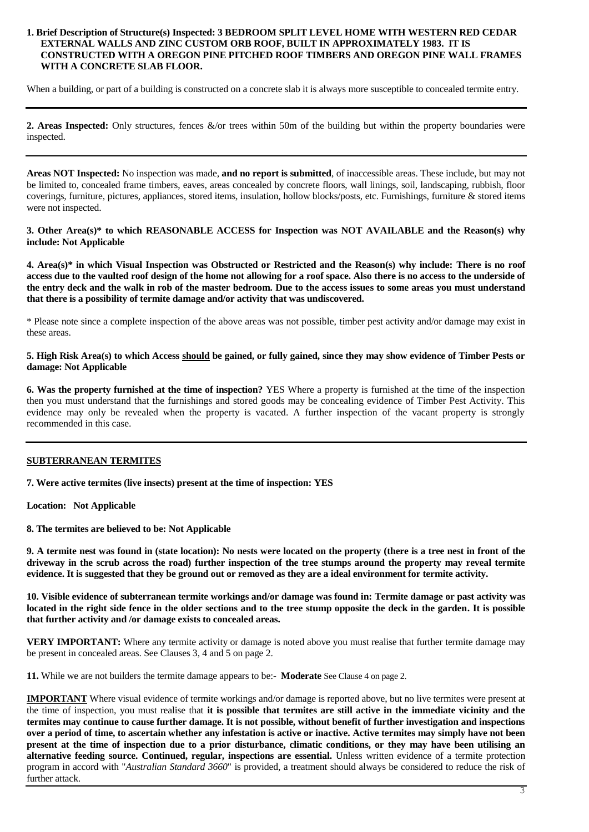#### **1. Brief Description of Structure(s) Inspected: 3 BEDROOM SPLIT LEVEL HOME WITH WESTERN RED CEDAR EXTERNAL WALLS AND ZINC CUSTOM ORB ROOF, BUILT IN APPROXIMATELY 1983. IT IS CONSTRUCTED WITH A OREGON PINE PITCHED ROOF TIMBERS AND OREGON PINE WALL FRAMES WITH A CONCRETE SLAB FLOOR.**

When a building, or part of a building is constructed on a concrete slab it is always more susceptible to concealed termite entry.

**2. Areas Inspected:** Only structures, fences &/or trees within 50m of the building but within the property boundaries were inspected.

**Areas NOT Inspected:** No inspection was made, **and no report is submitted**, of inaccessible areas. These include, but may not be limited to, concealed frame timbers, eaves, areas concealed by concrete floors, wall linings, soil, landscaping, rubbish, floor coverings, furniture, pictures, appliances, stored items, insulation, hollow blocks/posts, etc. Furnishings, furniture & stored items were not inspected.

**3. Other Area(s)\* to which REASONABLE ACCESS for Inspection was NOT AVAILABLE and the Reason(s) why include: Not Applicable**

**4. Area(s)\* in which Visual Inspection was Obstructed or Restricted and the Reason(s) why include: There is no roof access due to the vaulted roof design of the home not allowing for a roof space. Also there is no access to the underside of the entry deck and the walk in rob of the master bedroom. Due to the access issues to some areas you must understand that there is a possibility of termite damage and/or activity that was undiscovered.**

\* Please note since a complete inspection of the above areas was not possible, timber pest activity and/or damage may exist in these areas.

#### **5. High Risk Area(s) to which Access should be gained, or fully gained, since they may show evidence of Timber Pests or damage: Not Applicable**

**6. Was the property furnished at the time of inspection?** YES Where a property is furnished at the time of the inspection then you must understand that the furnishings and stored goods may be concealing evidence of Timber Pest Activity. This evidence may only be revealed when the property is vacated. A further inspection of the vacant property is strongly recommended in this case.

### **SUBTERRANEAN TERMITES**

**7. Were active termites (live insects) present at the time of inspection: YES** 

**Location: Not Applicable**

**8. The termites are believed to be: Not Applicable**

**9. A termite nest was found in (state location): No nests were located on the property (there is a tree nest in front of the driveway in the scrub across the road) further inspection of the tree stumps around the property may reveal termite evidence. It is suggested that they be ground out or removed as they are a ideal environment for termite activity.** 

**10. Visible evidence of subterranean termite workings and/or damage was found in: Termite damage or past activity was located in the right side fence in the older sections and to the tree stump opposite the deck in the garden. It is possible that further activity and /or damage exists to concealed areas.**

**VERY IMPORTANT:** Where any termite activity or damage is noted above you must realise that further termite damage may be present in concealed areas. See Clauses 3, 4 and 5 on page 2.

**11.** While we are not builders the termite damage appears to be:- **Moderate** See Clause 4 on page 2.

**IMPORTANT** Where visual evidence of termite workings and/or damage is reported above, but no live termites were present at the time of inspection, you must realise that **it is possible that termites are still active in the immediate vicinity and the termites may continue to cause further damage. It is not possible, without benefit of further investigation and inspections over a period of time, to ascertain whether any infestation is active or inactive. Active termites may simply have not been present at the time of inspection due to a prior disturbance, climatic conditions, or they may have been utilising an alternative feeding source.** Continued, regular, inspections are essential. Unless written evidence of a termite protection program in accord with "*Australian Standard 3660*" is provided, a treatment should always be considered to reduce the risk of further attack.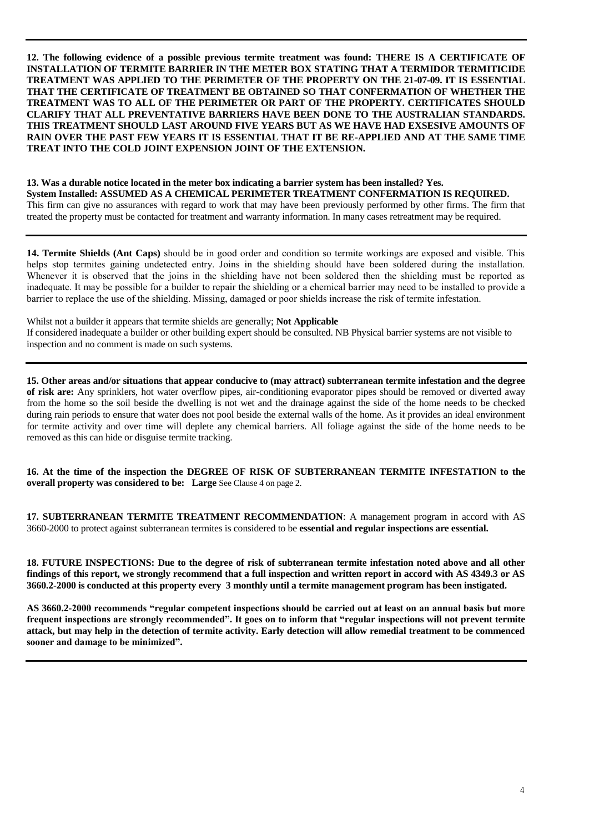**12. The following evidence of a possible previous termite treatment was found: THERE IS A CERTIFICATE OF INSTALLATION OF TERMITE BARRIER IN THE METER BOX STATING THAT A TERMIDOR TERMITICIDE TREATMENT WAS APPLIED TO THE PERIMETER OF THE PROPERTY ON THE 21-07-09. IT IS ESSENTIAL THAT THE CERTIFICATE OF TREATMENT BE OBTAINED SO THAT CONFERMATION OF WHETHER THE TREATMENT WAS TO ALL OF THE PERIMETER OR PART OF THE PROPERTY. CERTIFICATES SHOULD CLARIFY THAT ALL PREVENTATIVE BARRIERS HAVE BEEN DONE TO THE AUSTRALIAN STANDARDS. THIS TREATMENT SHOULD LAST AROUND FIVE YEARS BUT AS WE HAVE HAD EXSESIVE AMOUNTS OF RAIN OVER THE PAST FEW YEARS IT IS ESSENTIAL THAT IT BE RE-APPLIED AND AT THE SAME TIME TREAT INTO THE COLD JOINT EXPENSION JOINT OF THE EXTENSION.** 

**13. Was a durable notice located in the meter box indicating a barrier system has been installed? Yes. System Installed: ASSUMED AS A CHEMICAL PERIMETER TREATMENT CONFERMATION IS REQUIRED.** This firm can give no assurances with regard to work that may have been previously performed by other firms. The firm that treated the property must be contacted for treatment and warranty information. In many cases retreatment may be required.

**14. Termite Shields (Ant Caps)** should be in good order and condition so termite workings are exposed and visible. This helps stop termites gaining undetected entry. Joins in the shielding should have been soldered during the installation. Whenever it is observed that the joins in the shielding have not been soldered then the shielding must be reported as inadequate. It may be possible for a builder to repair the shielding or a chemical barrier may need to be installed to provide a barrier to replace the use of the shielding. Missing, damaged or poor shields increase the risk of termite infestation.

Whilst not a builder it appears that termite shields are generally; **Not Applicable**  If considered inadequate a builder or other building expert should be consulted. NB Physical barrier systems are not visible to inspection and no comment is made on such systems.

**15. Other areas and/or situations that appear conducive to (may attract) subterranean termite infestation and the degree of risk are:** Any sprinklers, hot water overflow pipes, air-conditioning evaporator pipes should be removed or diverted away from the home so the soil beside the dwelling is not wet and the drainage against the side of the home needs to be checked during rain periods to ensure that water does not pool beside the external walls of the home. As it provides an ideal environment for termite activity and over time will deplete any chemical barriers. All foliage against the side of the home needs to be removed as this can hide or disguise termite tracking.

**16. At the time of the inspection the DEGREE OF RISK OF SUBTERRANEAN TERMITE INFESTATION to the overall property was considered to be: Large** See Clause 4 on page 2.

**17. SUBTERRANEAN TERMITE TREATMENT RECOMMENDATION**: A management program in accord with AS 3660-2000 to protect against subterranean termites is considered to be **essential and regular inspections are essential.**

**18. FUTURE INSPECTIONS: Due to the degree of risk of subterranean termite infestation noted above and all other findings of this report, we strongly recommend that a full inspection and written report in accord with AS 4349.3 or AS 3660.2-2000 is conducted at this property every 3 monthly until a termite management program has been instigated.** 

**AS 3660.2-2000 recommends "regular competent inspections should be carried out at least on an annual basis but more frequent inspections are strongly recommended". It goes on to inform that "regular inspections will not prevent termite attack, but may help in the detection of termite activity. Early detection will allow remedial treatment to be commenced sooner and damage to be minimized".**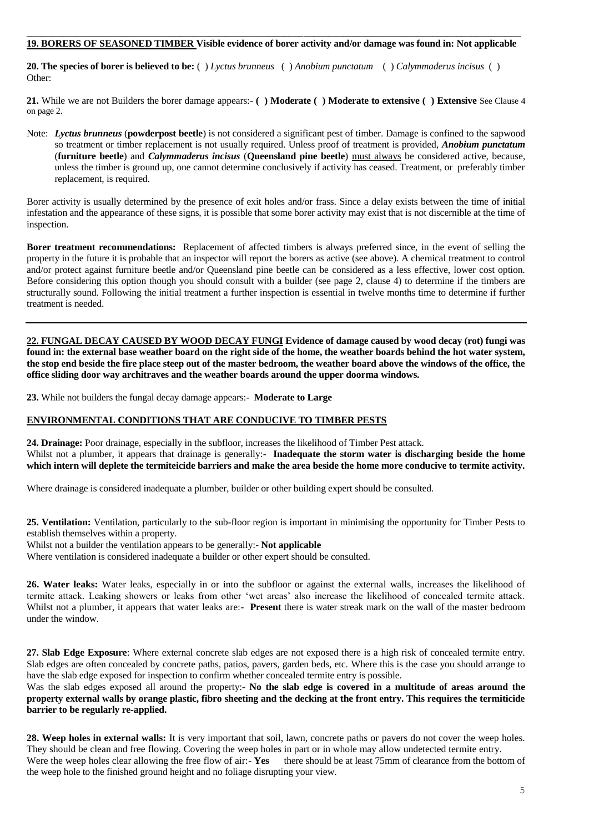#### \_\_\_\_\_\_\_\_\_\_\_\_\_\_\_\_\_\_\_\_\_\_\_\_\_\_\_\_\_\_\_\_\_\_\_\_\_\_\_\_\_\_\_\_\_\_\_\_\_\_\_\_\_\_\_\_\_\_\_\_\_\_\_\_\_\_\_\_\_\_\_\_\_\_\_\_\_\_\_\_\_\_\_\_\_\_\_\_\_\_\_\_\_\_\_\_\_\_\_\_ **19. BORERS OF SEASONED TIMBER Visible evidence of borer activity and/or damage was found in: Not applicable**

**20. The species of borer is believed to be:** ( ) *Lyctus brunneus* ( ) *Anobium punctatum* ( ) *Calymmaderus incisus* ( ) Other:

21. While we are not Builders the borer damage appears:- () Moderate () Moderate to extensive () Extensive See Clause 4 on page 2.

Note: *Lyctus brunneus* (**powderpost beetle**) is not considered a significant pest of timber. Damage is confined to the sapwood so treatment or timber replacement is not usually required. Unless proof of treatment is provided, *Anobium punctatum* (**furniture beetle**) and *Calymmaderus incisus* (**Queensland pine beetle**) must always be considered active, because, unless the timber is ground up, one cannot determine conclusively if activity has ceased. Treatment, or preferably timber replacement, is required.

Borer activity is usually determined by the presence of exit holes and/or frass. Since a delay exists between the time of initial infestation and the appearance of these signs, it is possible that some borer activity may exist that is not discernible at the time of inspection.

**Borer treatment recommendations:** Replacement of affected timbers is always preferred since, in the event of selling the property in the future it is probable that an inspector will report the borers as active (see above). A chemical treatment to control and/or protect against furniture beetle and/or Queensland pine beetle can be considered as a less effective, lower cost option. Before considering this option though you should consult with a builder (see page 2, clause 4) to determine if the timbers are structurally sound. Following the initial treatment a further inspection is essential in twelve months time to determine if further treatment is needed.

**22. FUNGAL DECAY CAUSED BY WOOD DECAY FUNGI Evidence of damage caused by wood decay (rot) fungi was found in: the external base weather board on the right side of the home, the weather boards behind the hot water system, the stop end beside the fire place steep out of the master bedroom, the weather board above the windows of the office, the office sliding door way architraves and the weather boards around the upper doorma windows.**

**23.** While not builders the fungal decay damage appears:- **Moderate to Large** 

## **ENVIRONMENTAL CONDITIONS THAT ARE CONDUCIVE TO TIMBER PESTS**

**24. Drainage:** Poor drainage, especially in the subfloor, increases the likelihood of Timber Pest attack. Whilst not a plumber, it appears that drainage is generally:- **Inadequate the storm water is discharging beside the home which intern will deplete the termiteicide barriers and make the area beside the home more conducive to termite activity.**

Where drainage is considered inadequate a plumber, builder or other building expert should be consulted.

**25. Ventilation:** Ventilation, particularly to the sub-floor region is important in minimising the opportunity for Timber Pests to establish themselves within a property.

Whilst not a builder the ventilation appears to be generally:- **Not applicable**

Where ventilation is considered inadequate a builder or other expert should be consulted.

**26. Water leaks:** Water leaks, especially in or into the subfloor or against the external walls, increases the likelihood of termite attack. Leaking showers or leaks from other 'wet areas' also increase the likelihood of concealed termite attack. Whilst not a plumber, it appears that water leaks are:- **Present** there is water streak mark on the wall of the master bedroom under the window.

**27. Slab Edge Exposure**: Where external concrete slab edges are not exposed there is a high risk of concealed termite entry. Slab edges are often concealed by concrete paths, patios, pavers, garden beds, etc. Where this is the case you should arrange to have the slab edge exposed for inspection to confirm whether concealed termite entry is possible.

Was the slab edges exposed all around the property:- **No the slab edge is covered in a multitude of areas around the property external walls by orange plastic, fibro sheeting and the decking at the front entry. This requires the termiticide barrier to be regularly re-applied.**

**28. Weep holes in external walls:** It is very important that soil, lawn, concrete paths or pavers do not cover the weep holes. They should be clean and free flowing. Covering the weep holes in part or in whole may allow undetected termite entry. Were the weep holes clear allowing the free flow of air:-**Yes** there should be at least 75mm of clearance from the bottom of the weep hole to the finished ground height and no foliage disrupting your view.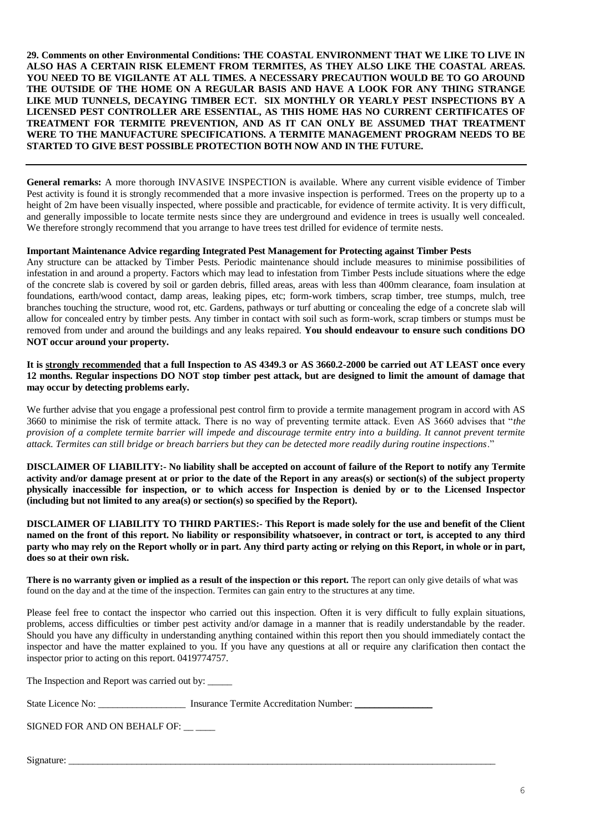**29. Comments on other Environmental Conditions: THE COASTAL ENVIRONMENT THAT WE LIKE TO LIVE IN ALSO HAS A CERTAIN RISK ELEMENT FROM TERMITES, AS THEY ALSO LIKE THE COASTAL AREAS. YOU NEED TO BE VIGILANTE AT ALL TIMES. A NECESSARY PRECAUTION WOULD BE TO GO AROUND THE OUTSIDE OF THE HOME ON A REGULAR BASIS AND HAVE A LOOK FOR ANY THING STRANGE LIKE MUD TUNNELS, DECAYING TIMBER ECT. SIX MONTHLY OR YEARLY PEST INSPECTIONS BY A LICENSED PEST CONTROLLER ARE ESSENTIAL, AS THIS HOME HAS NO CURRENT CERTIFICATES OF TREATMENT FOR TERMITE PREVENTION, AND AS IT CAN ONLY BE ASSUMED THAT TREATMENT WERE TO THE MANUFACTURE SPECIFICATIONS. A TERMITE MANAGEMENT PROGRAM NEEDS TO BE STARTED TO GIVE BEST POSSIBLE PROTECTION BOTH NOW AND IN THE FUTURE.** 

**General remarks:** A more thorough INVASIVE INSPECTION is available. Where any current visible evidence of Timber Pest activity is found it is strongly recommended that a more invasive inspection is performed. Trees on the property up to a height of 2m have been visually inspected, where possible and practicable, for evidence of termite activity. It is very difficult, and generally impossible to locate termite nests since they are underground and evidence in trees is usually well concealed. We therefore strongly recommend that you arrange to have trees test drilled for evidence of termite nests.

#### **Important Maintenance Advice regarding Integrated Pest Management for Protecting against Timber Pests**

Any structure can be attacked by Timber Pests. Periodic maintenance should include measures to minimise possibilities of infestation in and around a property. Factors which may lead to infestation from Timber Pests include situations where the edge of the concrete slab is covered by soil or garden debris, filled areas, areas with less than 400mm clearance, foam insulation at foundations, earth/wood contact, damp areas, leaking pipes, etc; form-work timbers, scrap timber, tree stumps, mulch, tree branches touching the structure, wood rot, etc. Gardens, pathways or turf abutting or concealing the edge of a concrete slab will allow for concealed entry by timber pests. Any timber in contact with soil such as form-work, scrap timbers or stumps must be removed from under and around the buildings and any leaks repaired. **You should endeavour to ensure such conditions DO NOT occur around your property.**

**It is strongly recommended that a full Inspection to AS 4349.3 or AS 3660.2-2000 be carried out AT LEAST once every 12 months. Regular inspections DO NOT stop timber pest attack, but are designed to limit the amount of damage that may occur by detecting problems early.**

We further advise that you engage a professional pest control firm to provide a termite management program in accord with AS 3660 to minimise the risk of termite attack. There is no way of preventing termite attack. Even AS 3660 advises that "*the provision of a complete termite barrier will impede and discourage termite entry into a building. It cannot prevent termite attack. Termites can still bridge or breach barriers but they can be detected more readily during routine inspections*."

**DISCLAIMER OF LIABILITY:- No liability shall be accepted on account of failure of the Report to notify any Termite activity and/or damage present at or prior to the date of the Report in any areas(s) or section(s) of the subject property physically inaccessible for inspection, or to which access for Inspection is denied by or to the Licensed Inspector (including but not limited to any area(s) or section(s) so specified by the Report).**

**DISCLAIMER OF LIABILITY TO THIRD PARTIES:- This Report is made solely for the use and benefit of the Client named on the front of this report. No liability or responsibility whatsoever, in contract or tort, is accepted to any third party who may rely on the Report wholly or in part. Any third party acting or relying on this Report, in whole or in part, does so at their own risk.**

**There is no warranty given or implied as a result of the inspection or this report.** The report can only give details of what was found on the day and at the time of the inspection. Termites can gain entry to the structures at any time.

Please feel free to contact the inspector who carried out this inspection. Often it is very difficult to fully explain situations, problems, access difficulties or timber pest activity and/or damage in a manner that is readily understandable by the reader. Should you have any difficulty in understanding anything contained within this report then you should immediately contact the inspector and have the matter explained to you. If you have any questions at all or require any clarification then contact the inspector prior to acting on this report. 0419774757.

The Inspection and Report was carried out by:

| State Licence No:<br>Insurance Termite Accreditation Number: |  |
|--------------------------------------------------------------|--|
|--------------------------------------------------------------|--|

SIGNED FOR AND ON BEHALF OF: \_\_ \_\_\_

Signature: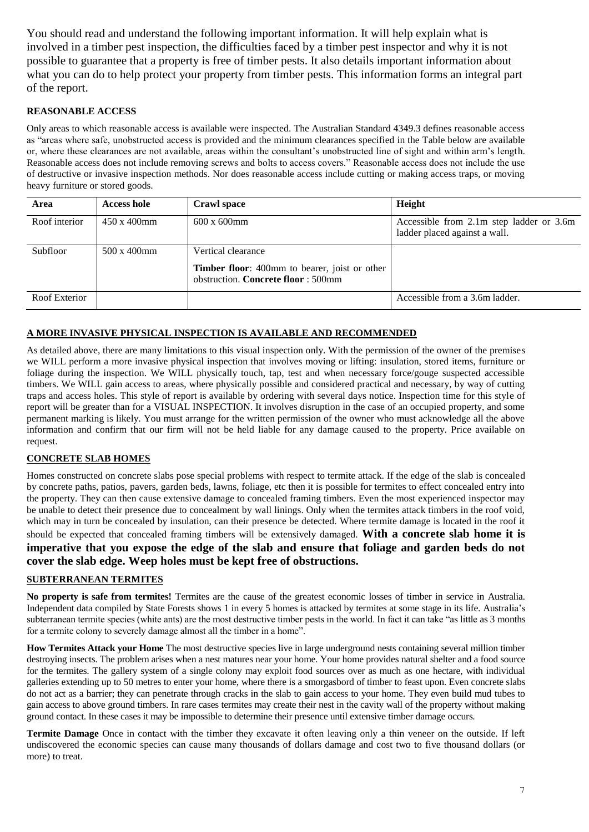You should read and understand the following important information. It will help explain what is involved in a timber pest inspection, the difficulties faced by a timber pest inspector and why it is not possible to guarantee that a property is free of timber pests. It also details important information about what you can do to help protect your property from timber pests. This information forms an integral part of the report.

## **REASONABLE ACCESS**

Only areas to which reasonable access is available were inspected. The Australian Standard 4349.3 defines reasonable access as "areas where safe, unobstructed access is provided and the minimum clearances specified in the Table below are available or, where these clearances are not available, areas within the consultant's unobstructed line of sight and within arm's length. Reasonable access does not include removing screws and bolts to access covers." Reasonable access does not include the use of destructive or invasive inspection methods. Nor does reasonable access include cutting or making access traps, or moving heavy furniture or stored goods.

| Area          | <b>Access hole</b>  | Crawl space                                                                                | <b>Height</b>                                                             |
|---------------|---------------------|--------------------------------------------------------------------------------------------|---------------------------------------------------------------------------|
| Roof interior | $450 \times 400$ mm | $600 \times 600$ mm                                                                        | Accessible from 2.1m step ladder or 3.6m<br>ladder placed against a wall. |
| Subfloor      | 500 x 400mm         | Vertical clearance                                                                         |                                                                           |
|               |                     | <b>Timber floor:</b> 400mm to bearer, joist or other<br>obstruction. Concrete floor: 500mm |                                                                           |
| Roof Exterior |                     |                                                                                            | Accessible from a 3.6m ladder.                                            |

## **A MORE INVASIVE PHYSICAL INSPECTION IS AVAILABLE AND RECOMMENDED**

As detailed above, there are many limitations to this visual inspection only. With the permission of the owner of the premises we WILL perform a more invasive physical inspection that involves moving or lifting: insulation, stored items, furniture or foliage during the inspection. We WILL physically touch, tap, test and when necessary force/gouge suspected accessible timbers. We WILL gain access to areas, where physically possible and considered practical and necessary, by way of cutting traps and access holes. This style of report is available by ordering with several days notice. Inspection time for this style of report will be greater than for a VISUAL INSPECTION. It involves disruption in the case of an occupied property, and some permanent marking is likely. You must arrange for the written permission of the owner who must acknowledge all the above information and confirm that our firm will not be held liable for any damage caused to the property. Price available on request.

### **CONCRETE SLAB HOMES**

Homes constructed on concrete slabs pose special problems with respect to termite attack. If the edge of the slab is concealed by concrete paths, patios, pavers, garden beds, lawns, foliage, etc then it is possible for termites to effect concealed entry into the property. They can then cause extensive damage to concealed framing timbers. Even the most experienced inspector may be unable to detect their presence due to concealment by wall linings. Only when the termites attack timbers in the roof void, which may in turn be concealed by insulation, can their presence be detected. Where termite damage is located in the roof it should be expected that concealed framing timbers will be extensively damaged. **With a concrete slab home it is imperative that you expose the edge of the slab and ensure that foliage and garden beds do not cover the slab edge. Weep holes must be kept free of obstructions.**

#### **SUBTERRANEAN TERMITES**

**No property is safe from termites!** Termites are the cause of the greatest economic losses of timber in service in Australia. Independent data compiled by State Forests shows 1 in every 5 homes is attacked by termites at some stage in its life. Australia's subterranean termite species (white ants) are the most destructive timber pests in the world. In fact it can take "as little as 3 months for a termite colony to severely damage almost all the timber in a home".

**How Termites Attack your Home** The most destructive species live in large underground nests containing several million timber destroying insects. The problem arises when a nest matures near your home. Your home provides natural shelter and a food source for the termites. The gallery system of a single colony may exploit food sources over as much as one hectare, with individual galleries extending up to 50 metres to enter your home, where there is a smorgasbord of timber to feast upon. Even concrete slabs do not act as a barrier; they can penetrate through cracks in the slab to gain access to your home. They even build mud tubes to gain access to above ground timbers. In rare cases termites may create their nest in the cavity wall of the property without making ground contact. In these cases it may be impossible to determine their presence until extensive timber damage occurs.

**Termite Damage** Once in contact with the timber they excavate it often leaving only a thin veneer on the outside. If left undiscovered the economic species can cause many thousands of dollars damage and cost two to five thousand dollars (or more) to treat.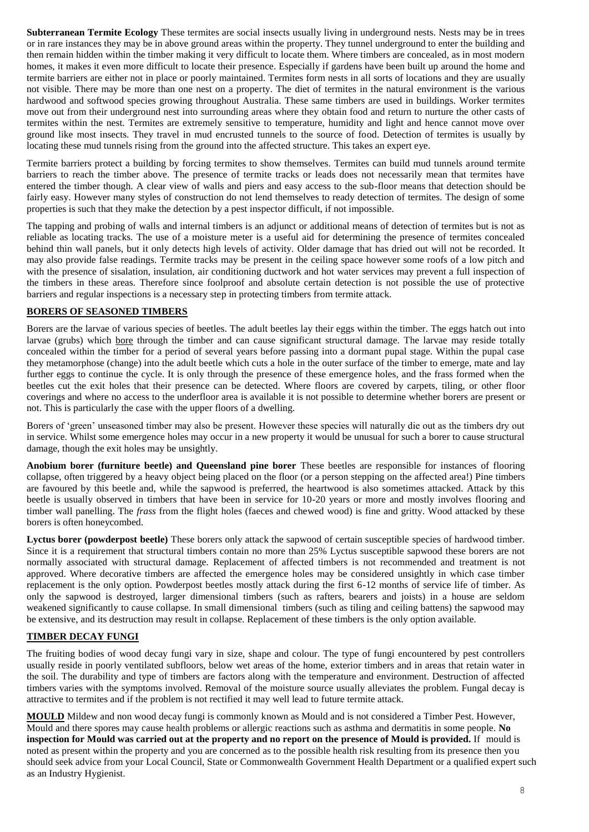**Subterranean Termite Ecology** These termites are social insects usually living in underground nests. Nests may be in trees or in rare instances they may be in above ground areas within the property. They tunnel underground to enter the building and then remain hidden within the timber making it very difficult to locate them. Where timbers are concealed, as in most modern homes, it makes it even more difficult to locate their presence. Especially if gardens have been built up around the home and termite barriers are either not in place or poorly maintained. Termites form nests in all sorts of locations and they are usually not visible. There may be more than one nest on a property. The diet of termites in the natural environment is the various hardwood and softwood species growing throughout Australia. These same timbers are used in buildings. Worker termites move out from their underground nest into surrounding areas where they obtain food and return to nurture the other casts of termites within the nest. Termites are extremely sensitive to temperature, humidity and light and hence cannot move over ground like most insects. They travel in mud encrusted tunnels to the source of food. Detection of termites is usually by locating these mud tunnels rising from the ground into the affected structure. This takes an expert eye.

Termite barriers protect a building by forcing termites to show themselves. Termites can build mud tunnels around termite barriers to reach the timber above. The presence of termite tracks or leads does not necessarily mean that termites have entered the timber though. A clear view of walls and piers and easy access to the sub-floor means that detection should be fairly easy. However many styles of construction do not lend themselves to ready detection of termites. The design of some properties is such that they make the detection by a pest inspector difficult, if not impossible.

The tapping and probing of walls and internal timbers is an adjunct or additional means of detection of termites but is not as reliable as locating tracks. The use of a moisture meter is a useful aid for determining the presence of termites concealed behind thin wall panels, but it only detects high levels of activity. Older damage that has dried out will not be recorded. It may also provide false readings. Termite tracks may be present in the ceiling space however some roofs of a low pitch and with the presence of sisalation, insulation, air conditioning ductwork and hot water services may prevent a full inspection of the timbers in these areas. Therefore since foolproof and absolute certain detection is not possible the use of protective barriers and regular inspections is a necessary step in protecting timbers from termite attack.

### **BORERS OF SEASONED TIMBERS**

Borers are the larvae of various species of beetles. The adult beetles lay their eggs within the timber. The eggs hatch out into larvae (grubs) which bore through the timber and can cause significant structural damage. The larvae may reside totally concealed within the timber for a period of several years before passing into a dormant pupal stage. Within the pupal case they metamorphose (change) into the adult beetle which cuts a hole in the outer surface of the timber to emerge, mate and lay further eggs to continue the cycle. It is only through the presence of these emergence holes, and the frass formed when the beetles cut the exit holes that their presence can be detected. Where floors are covered by carpets, tiling, or other floor coverings and where no access to the underfloor area is available it is not possible to determine whether borers are present or not. This is particularly the case with the upper floors of a dwelling.

Borers of 'green' unseasoned timber may also be present. However these species will naturally die out as the timbers dry out in service. Whilst some emergence holes may occur in a new property it would be unusual for such a borer to cause structural damage, though the exit holes may be unsightly.

**Anobium borer (furniture beetle) and Queensland pine borer** These beetles are responsible for instances of flooring collapse, often triggered by a heavy object being placed on the floor (or a person stepping on the affected area!) Pine timbers are favoured by this beetle and, while the sapwood is preferred, the heartwood is also sometimes attacked. Attack by this beetle is usually observed in timbers that have been in service for 10-20 years or more and mostly involves flooring and timber wall panelling. The *frass* from the flight holes (faeces and chewed wood) is fine and gritty. Wood attacked by these borers is often honeycombed.

**Lyctus borer (powderpost beetle)** These borers only attack the sapwood of certain susceptible species of hardwood timber. Since it is a requirement that structural timbers contain no more than 25% Lyctus susceptible sapwood these borers are not normally associated with structural damage. Replacement of affected timbers is not recommended and treatment is not approved. Where decorative timbers are affected the emergence holes may be considered unsightly in which case timber replacement is the only option. Powderpost beetles mostly attack during the first 6-12 months of service life of timber. As only the sapwood is destroyed, larger dimensional timbers (such as rafters, bearers and joists) in a house are seldom weakened significantly to cause collapse. In small dimensional timbers (such as tiling and ceiling battens) the sapwood may be extensive, and its destruction may result in collapse. Replacement of these timbers is the only option available.

#### **TIMBER DECAY FUNGI**

The fruiting bodies of wood decay fungi vary in size, shape and colour. The type of fungi encountered by pest controllers usually reside in poorly ventilated subfloors, below wet areas of the home, exterior timbers and in areas that retain water in the soil. The durability and type of timbers are factors along with the temperature and environment. Destruction of affected timbers varies with the symptoms involved. Removal of the moisture source usually alleviates the problem. Fungal decay is attractive to termites and if the problem is not rectified it may well lead to future termite attack.

**MOULD** Mildew and non wood decay fungi is commonly known as Mould and is not considered a Timber Pest. However, Mould and there spores may cause health problems or allergic reactions such as asthma and dermatitis in some people. **No inspection for Mould was carried out at the property and no report on the presence of Mould is provided.** If mould is noted as present within the property and you are concerned as to the possible health risk resulting from its presence then you should seek advice from your Local Council, State or Commonwealth Government Health Department or a qualified expert such as an Industry Hygienist.